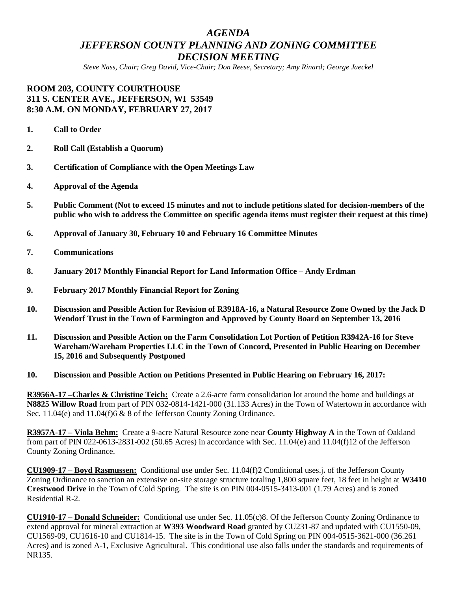## *AGENDA JEFFERSON COUNTY PLANNING AND ZONING COMMITTEE DECISION MEETING*

*Steve Nass, Chair; Greg David, Vice-Chair; Don Reese, Secretary; Amy Rinard; George Jaeckel*

## **ROOM 203, COUNTY COURTHOUSE 311 S. CENTER AVE., JEFFERSON, WI 53549 8:30 A.M. ON MONDAY, FEBRUARY 27, 2017**

- **1. Call to Order**
- **2. Roll Call (Establish a Quorum)**
- **3. Certification of Compliance with the Open Meetings Law**
- **4. Approval of the Agenda**
- **5. Public Comment (Not to exceed 15 minutes and not to include petitions slated for decision-members of the public who wish to address the Committee on specific agenda items must register their request at this time)**
- **6. Approval of January 30, February 10 and February 16 Committee Minutes**
- **7. Communications**
- **8. January 2017 Monthly Financial Report for Land Information Office – Andy Erdman**
- **9. February 2017 Monthly Financial Report for Zoning**
- **10. Discussion and Possible Action for Revision of R3918A-16, a Natural Resource Zone Owned by the Jack D Wendorf Trust in the Town of Farmington and Approved by County Board on September 13, 2016**
- **11. Discussion and Possible Action on the Farm Consolidation Lot Portion of Petition R3942A-16 for Steve Wareham/Wareham Properties LLC in the Town of Concord, Presented in Public Hearing on December 15, 2016 and Subsequently Postponed**
- **10. Discussion and Possible Action on Petitions Presented in Public Hearing on February 16, 2017:**

**R3956A-17 –Charles & Christine Teich:** Create a 2.6-acre farm consolidation lot around the home and buildings at **N8825 Willow Road** from part of PIN 032-0814-1421-000 (31.133 Acres) in the Town of Watertown in accordance with Sec. 11.04(e) and 11.04(f)6 & 8 of the Jefferson County Zoning Ordinance.

**R3957A-17 – Viola Behm:** Create a 9-acre Natural Resource zone near **County Highway A** in the Town of Oakland from part of PIN 022-0613-2831-002 (50.65 Acres) in accordance with Sec. 11.04(e) and 11.04(f)12 of the Jefferson County Zoning Ordinance.

**CU1909-17 – Boyd Rasmussen:** Conditional use under Sec. 11.04(f)2 Conditional uses.j**.** of the Jefferson County Zoning Ordinance to sanction an extensive on-site storage structure totaling 1,800 square feet, 18 feet in height at **W3410 Crestwood Drive** in the Town of Cold Spring. The site is on PIN 004-0515-3413-001 (1.79 Acres) and is zoned Residential R-2.

**CU1910-17 – Donald Schneider:** Conditional use under Sec. 11.05(c)8. Of the Jefferson County Zoning Ordinance to extend approval for mineral extraction at **W393 Woodward Road** granted by CU231-87 and updated with CU1550-09, CU1569-09, CU1616-10 and CU1814-15. The site is in the Town of Cold Spring on PIN 004-0515-3621-000 (36.261 Acres) and is zoned A-1, Exclusive Agricultural. This conditional use also falls under the standards and requirements of NR135.